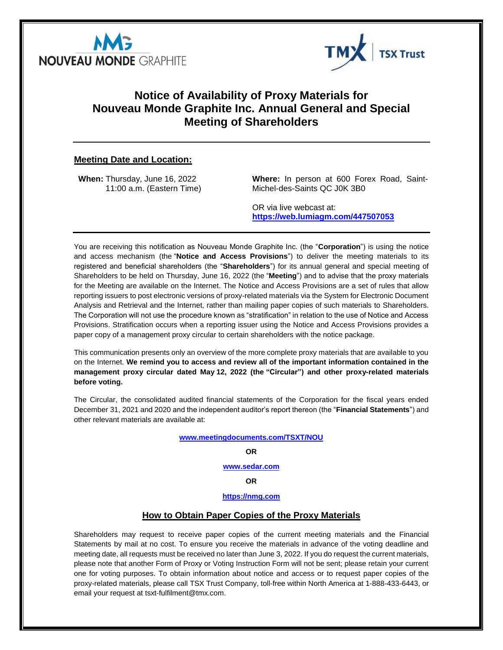



## **Notice of Availability of Proxy Materials for Nouveau Monde Graphite Inc. Annual General and Special Meeting of Shareholders**

## **Meeting Date and Location:**

**When:** Thursday, June 16, 2022 11:00 a.m. (Eastern Time) **Where:** In person at 600 Forex Road, Saint-Michel-des-Saints QC J0K 3B0

OR via live webcast at: **<https://web.lumiagm.com/447507053>**

You are receiving this notification as Nouveau Monde Graphite Inc. (the "**Corporation**") is using the notice and access mechanism (the "**Notice and Access Provisions**") to deliver the meeting materials to its registered and beneficial shareholders (the "**Shareholders**") for its annual general and special meeting of Shareholders to be held on Thursday, June 16, 2022 (the "**Meeting**") and to advise that the proxy materials for the Meeting are available on the Internet. The Notice and Access Provisions are a set of rules that allow reporting issuers to post electronic versions of proxy-related materials via the System for Electronic Document Analysis and Retrieval and the Internet, rather than mailing paper copies of such materials to Shareholders. The Corporation will not use the procedure known as "stratification" in relation to the use of Notice and Access Provisions. Stratification occurs when a reporting issuer using the Notice and Access Provisions provides a paper copy of a management proxy circular to certain shareholders with the notice package.

This communication presents only an overview of the more complete proxy materials that are available to you on the Internet. **We remind you to access and review all of the important information contained in the management proxy circular dated May 12, 2022 (the "Circular") and other proxy-related materials before voting.**

The Circular, the consolidated audited financial statements of the Corporation for the fiscal years ended December 31, 2021 and 2020 and the independent auditor's report thereon (the "**Financial Statements**") and other relevant materials are available at:

#### **[www.meetingdocuments.com/TSXT/NOU](http://www.meetingdocuments.com/TSXT/NOU)**

#### **OR**

#### **[www.sedar.com](http://www.sedar.com/)**

**OR**

### **[https://nmg.com](https://nmg.com/)**

#### **How to Obtain Paper Copies of the Proxy Materials**

Shareholders may request to receive paper copies of the current meeting materials and the Financial Statements by mail at no cost. To ensure you receive the materials in advance of the voting deadline and meeting date, all requests must be received no later than June 3, 2022. If you do request the current materials, please note that another Form of Proxy or Voting Instruction Form will not be sent; please retain your current one for voting purposes. To obtain information about notice and access or to request paper copies of the proxy-related materials, please call TSX Trust Company, toll-free within North America at 1-888-433-6443, or email your request at tsxt-fulfilment@tmx.com.